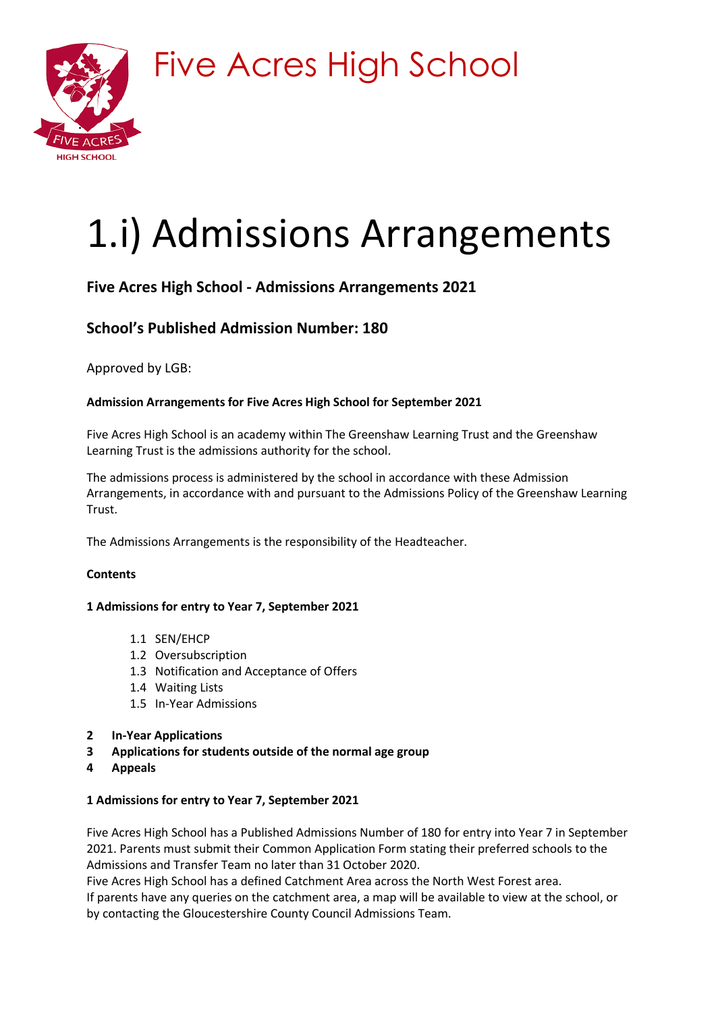

Five Acres High School

# 1.i) Admissions Arrangements

# **Five Acres High School - Admissions Arrangements 2021**

# **School's Published Admission Number: 180**

Approved by LGB:

# **Admission Arrangements for Five Acres High School for September 2021**

Five Acres High School is an academy within The Greenshaw Learning Trust and the Greenshaw Learning Trust is the admissions authority for the school.

The admissions process is administered by the school in accordance with these Admission Arrangements, in accordance with and pursuant to the Admissions Policy of the Greenshaw Learning Trust.

The Admissions Arrangements is the responsibility of the Headteacher.

# **Contents**

# **1 Admissions for entry to Year 7, September 2021**

- 1.1 SEN/EHCP
- 1.2 Oversubscription
- 1.3 Notification and Acceptance of Offers
- 1.4 Waiting Lists
- 1.5 In-Year Admissions
- **2 In-Year Applications**
- **3 Applications for students outside of the normal age group**
- **4 Appeals**

# **1 Admissions for entry to Year 7, September 2021**

Five Acres High School has a Published Admissions Number of 180 for entry into Year 7 in September 2021. Parents must submit their Common Application Form stating their preferred schools to the Admissions and Transfer Team no later than 31 October 2020.

Five Acres High School has a defined Catchment Area across the North West Forest area.

If parents have any queries on the catchment area, a map will be available to view at the school, or by contacting the Gloucestershire County Council Admissions Team.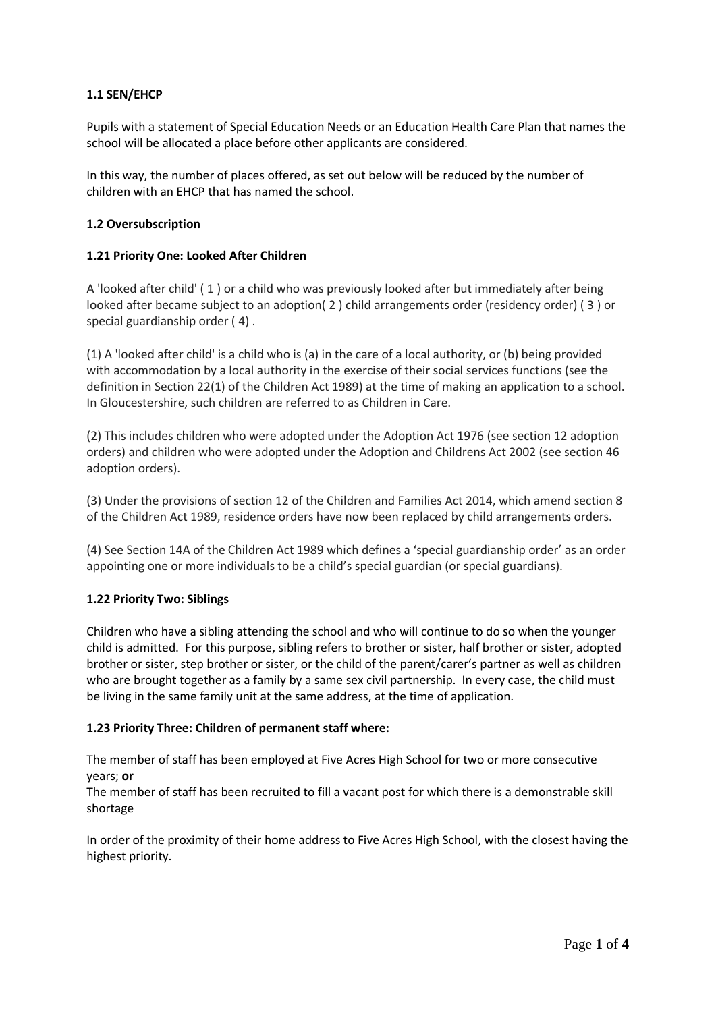# **1.1 SEN/EHCP**

Pupils with a statement of Special Education Needs or an Education Health Care Plan that names the school will be allocated a place before other applicants are considered.

In this way, the number of places offered, as set out below will be reduced by the number of children with an EHCP that has named the school.

#### **1.2 Oversubscription**

#### **1.21 Priority One: Looked After Children**

A 'looked after child' ( 1 ) or a child who was previously looked after but immediately after being looked after became subject to an adoption( 2 ) child arrangements order (residency order) ( 3 ) or special guardianship order ( 4) .

(1) A 'looked after child' is a child who is (a) in the care of a local authority, or (b) being provided with accommodation by a local authority in the exercise of their social services functions (see the definition in Section 22(1) of the Children Act 1989) at the time of making an application to a school. In Gloucestershire, such children are referred to as Children in Care.

(2) This includes children who were adopted under the Adoption Act 1976 (see section 12 adoption orders) and children who were adopted under the Adoption and Childrens Act 2002 (see section 46 adoption orders).

(3) Under the provisions of section 12 of the Children and Families Act 2014, which amend section 8 of the Children Act 1989, residence orders have now been replaced by child arrangements orders.

(4) See Section 14A of the Children Act 1989 which defines a 'special guardianship order' as an order appointing one or more individuals to be a child's special guardian (or special guardians).

#### **1.22 Priority Two: Siblings**

Children who have a sibling attending the school and who will continue to do so when the younger child is admitted. For this purpose, sibling refers to brother or sister, half brother or sister, adopted brother or sister, step brother or sister, or the child of the parent/carer's partner as well as children who are brought together as a family by a same sex civil partnership. In every case, the child must be living in the same family unit at the same address, at the time of application.

#### **1.23 Priority Three: Children of permanent staff where:**

The member of staff has been employed at Five Acres High School for two or more consecutive years; **or**

The member of staff has been recruited to fill a vacant post for which there is a demonstrable skill shortage

In order of the proximity of their home address to Five Acres High School, with the closest having the highest priority.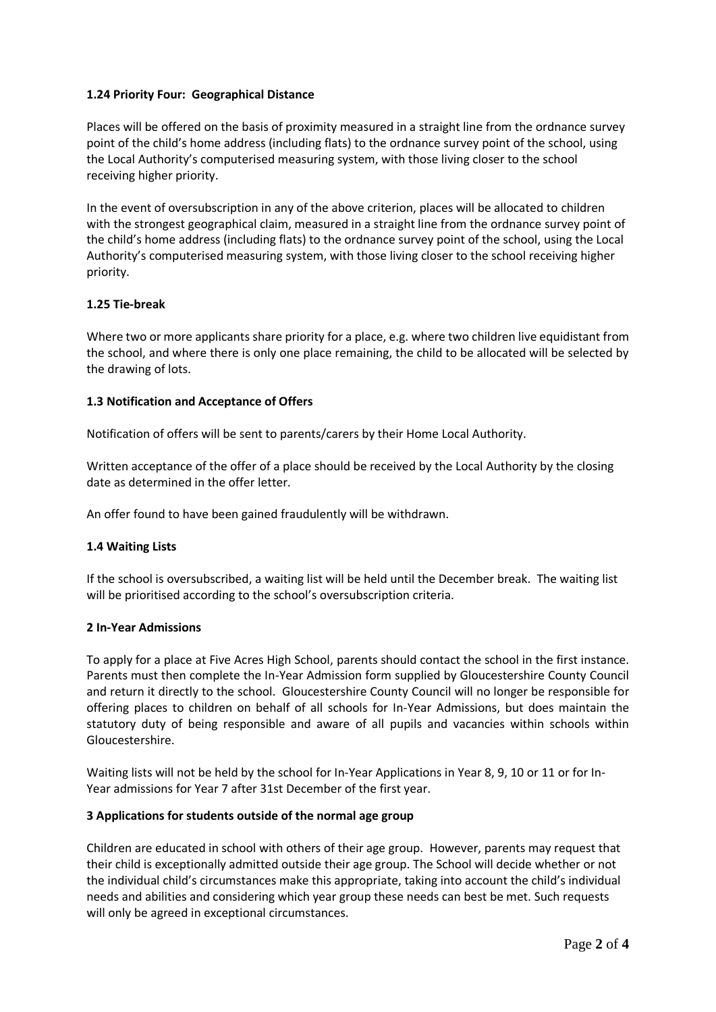# **1.24 Priority Four: Geographical Distance**

Places will be offered on the basis of proximity measured in a straight line from the ordnance survey point of the child's home address (including flats) to the ordnance survey point of the school, using the Local Authority's computerised measuring system, with those living closer to the school receiving higher priority.

In the event of oversubscription in any of the above criterion, places will be allocated to children with the strongest geographical claim, measured in a straight line from the ordnance survey point of the child's home address (including flats) to the ordnance survey point of the school, using the Local Authority's computerised measuring system, with those living closer to the school receiving higher priority.

# **1.25 Tie-break**

Where two or more applicants share priority for a place, e.g. where two children live equidistant from the school, and where there is only one place remaining, the child to be allocated will be selected by the drawing of lots.

# **1.3 Notification and Acceptance of Offers**

Notification of offers will be sent to parents/carers by their Home Local Authority.

Written acceptance of the offer of a place should be received by the Local Authority by the closing date as determined in the offer letter.

An offer found to have been gained fraudulently will be withdrawn.

# **1.4 Waiting Lists**

If the school is oversubscribed, a waiting list will be held until the December break. The waiting list will be prioritised according to the school's oversubscription criteria.

# **2 In-Year Admissions**

To apply for a place at Five Acres High School, parents should contact the school in the first instance. Parents must then complete the In-Year Admission form supplied by Gloucestershire County Council and return it directly to the school. Gloucestershire County Council will no longer be responsible for offering places to children on behalf of all schools for In-Year Admissions, but does maintain the statutory duty of being responsible and aware of all pupils and vacancies within schools within Gloucestershire.

Waiting lists will not be held by the school for In-Year Applications in Year 8, 9, 10 or 11 or for In-Year admissions for Year 7 after 31st December of the first year.

# **3 Applications for students outside of the normal age group**

Children are educated in school with others of their age group. However, parents may request that their child is exceptionally admitted outside their age group. The School will decide whether or not the individual child's circumstances make this appropriate, taking into account the child's individual needs and abilities and considering which year group these needs can best be met. Such requests will only be agreed in exceptional circumstances.